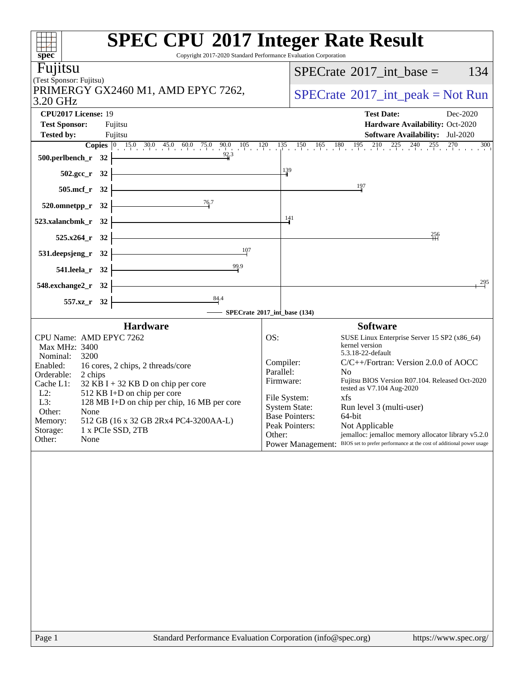| Fujitsu<br>$SPECTate$ <sup>®</sup> 2017_int_base =<br>(Test Sponsor: Fujitsu)<br>PRIMERGY GX2460 M1, AMD EPYC 7262,<br>3.20 GHz<br>CPU2017 License: 19<br><b>Test Date:</b><br>Dec-2020<br><b>Test Sponsor:</b><br>Fujitsu<br>Hardware Availability: Oct-2020<br><b>Tested by:</b><br>Fujitsu<br>Software Availability: Jul-2020<br><b>Copies</b> $\begin{bmatrix} 0 & 15 & 0 & 30 & 45 & 0 & 60 & 0 & 75 & 0 & 90 & 105 & 120 & 135 & 150 & 165 & 180 & 195 & 210 & 225 & 240 & 255 & 270 & 300 \end{bmatrix}$<br>92.3<br>$500.$ perlbench_r 32<br>$\frac{139}{2}$<br>$502.\text{sec}_r$ 32<br>$\frac{197}{2}$<br>$505.\text{mcf}_r$ 32<br>$520.0$ mnetpp_r $32$<br>76.7<br>141<br><u> 1989 - Johann Barn, fransk politik fotograf (</u><br>523.xalancbmk_r 32 $\vdash$<br>$-256$<br>$525.x264$ <sub>r</sub> $32$<br>107<br>$531.$ deepsjeng_r 32 $\vdash$<br>$\frac{99.9}{ }$<br>541.leela_r 32 $\vert$<br><u> 1989 - Johann Barbara, martxa a</u><br>$548$ .exchange2_r $32$<br>$557.xz$ <sub>r</sub> 32<br>SPECrate®2017_int_base (134)<br><b>Software</b><br><b>Hardware</b><br>CPU Name: AMD EPYC 7262<br>OS:<br>SUSE Linux Enterprise Server 15 SP2 (x86_64)<br>kernel version<br>Max MHz: 3400<br>5.3.18-22-default<br>Nominal:<br>3200<br>Compiler:<br>$C/C++/Fortran$ : Version 2.0.0 of AOCC<br>Enabled:<br>16 cores, 2 chips, 2 threads/core<br>Parallel:<br>No.<br>Orderable:<br>2 chips<br>Fujitsu BIOS Version R07.104. Released Oct-2020<br>Firmware:<br>$32$ KB I + 32 KB D on chip per core<br>Cache L1:<br>tested as V7.104 Aug-2020<br>$L2$ :<br>512 KB I+D on chip per core<br>File System:<br>xfs<br>L3:<br>128 MB I+D on chip per chip, 16 MB per core<br><b>System State:</b><br>Run level 3 (multi-user)<br>Other:<br>None<br><b>Base Pointers:</b><br>64-bit<br>512 GB (16 x 32 GB 2Rx4 PC4-3200AA-L)<br>Memory:<br>Peak Pointers:<br>Not Applicable<br>Storage:<br>1 x PCIe SSD, 2TB<br>Other:<br>jemalloc: jemalloc memory allocator library v5.2.0<br>Other:<br>None<br><b>Power Management:</b> | spec <sup>®</sup> | <b>SPEC CPU®2017 Integer Rate Result</b><br>Copyright 2017-2020 Standard Performance Evaluation Corporation |
|-------------------------------------------------------------------------------------------------------------------------------------------------------------------------------------------------------------------------------------------------------------------------------------------------------------------------------------------------------------------------------------------------------------------------------------------------------------------------------------------------------------------------------------------------------------------------------------------------------------------------------------------------------------------------------------------------------------------------------------------------------------------------------------------------------------------------------------------------------------------------------------------------------------------------------------------------------------------------------------------------------------------------------------------------------------------------------------------------------------------------------------------------------------------------------------------------------------------------------------------------------------------------------------------------------------------------------------------------------------------------------------------------------------------------------------------------------------------------------------------------------------------------------------------------------------------------------------------------------------------------------------------------------------------------------------------------------------------------------------------------------------------------------------------------------------------------------------------------------------------------------------------------------------------------------------------------------------------------------------------------------------------------------|-------------------|-------------------------------------------------------------------------------------------------------------|
|                                                                                                                                                                                                                                                                                                                                                                                                                                                                                                                                                                                                                                                                                                                                                                                                                                                                                                                                                                                                                                                                                                                                                                                                                                                                                                                                                                                                                                                                                                                                                                                                                                                                                                                                                                                                                                                                                                                                                                                                                               |                   | 134                                                                                                         |
|                                                                                                                                                                                                                                                                                                                                                                                                                                                                                                                                                                                                                                                                                                                                                                                                                                                                                                                                                                                                                                                                                                                                                                                                                                                                                                                                                                                                                                                                                                                                                                                                                                                                                                                                                                                                                                                                                                                                                                                                                               |                   | $SPECrate^{\circ}2017\_int\_peak = Not Run$                                                                 |
|                                                                                                                                                                                                                                                                                                                                                                                                                                                                                                                                                                                                                                                                                                                                                                                                                                                                                                                                                                                                                                                                                                                                                                                                                                                                                                                                                                                                                                                                                                                                                                                                                                                                                                                                                                                                                                                                                                                                                                                                                               |                   |                                                                                                             |
|                                                                                                                                                                                                                                                                                                                                                                                                                                                                                                                                                                                                                                                                                                                                                                                                                                                                                                                                                                                                                                                                                                                                                                                                                                                                                                                                                                                                                                                                                                                                                                                                                                                                                                                                                                                                                                                                                                                                                                                                                               |                   |                                                                                                             |
|                                                                                                                                                                                                                                                                                                                                                                                                                                                                                                                                                                                                                                                                                                                                                                                                                                                                                                                                                                                                                                                                                                                                                                                                                                                                                                                                                                                                                                                                                                                                                                                                                                                                                                                                                                                                                                                                                                                                                                                                                               |                   |                                                                                                             |
|                                                                                                                                                                                                                                                                                                                                                                                                                                                                                                                                                                                                                                                                                                                                                                                                                                                                                                                                                                                                                                                                                                                                                                                                                                                                                                                                                                                                                                                                                                                                                                                                                                                                                                                                                                                                                                                                                                                                                                                                                               |                   |                                                                                                             |
|                                                                                                                                                                                                                                                                                                                                                                                                                                                                                                                                                                                                                                                                                                                                                                                                                                                                                                                                                                                                                                                                                                                                                                                                                                                                                                                                                                                                                                                                                                                                                                                                                                                                                                                                                                                                                                                                                                                                                                                                                               |                   |                                                                                                             |
|                                                                                                                                                                                                                                                                                                                                                                                                                                                                                                                                                                                                                                                                                                                                                                                                                                                                                                                                                                                                                                                                                                                                                                                                                                                                                                                                                                                                                                                                                                                                                                                                                                                                                                                                                                                                                                                                                                                                                                                                                               |                   |                                                                                                             |
|                                                                                                                                                                                                                                                                                                                                                                                                                                                                                                                                                                                                                                                                                                                                                                                                                                                                                                                                                                                                                                                                                                                                                                                                                                                                                                                                                                                                                                                                                                                                                                                                                                                                                                                                                                                                                                                                                                                                                                                                                               |                   |                                                                                                             |
|                                                                                                                                                                                                                                                                                                                                                                                                                                                                                                                                                                                                                                                                                                                                                                                                                                                                                                                                                                                                                                                                                                                                                                                                                                                                                                                                                                                                                                                                                                                                                                                                                                                                                                                                                                                                                                                                                                                                                                                                                               |                   |                                                                                                             |
|                                                                                                                                                                                                                                                                                                                                                                                                                                                                                                                                                                                                                                                                                                                                                                                                                                                                                                                                                                                                                                                                                                                                                                                                                                                                                                                                                                                                                                                                                                                                                                                                                                                                                                                                                                                                                                                                                                                                                                                                                               |                   |                                                                                                             |
|                                                                                                                                                                                                                                                                                                                                                                                                                                                                                                                                                                                                                                                                                                                                                                                                                                                                                                                                                                                                                                                                                                                                                                                                                                                                                                                                                                                                                                                                                                                                                                                                                                                                                                                                                                                                                                                                                                                                                                                                                               |                   |                                                                                                             |
|                                                                                                                                                                                                                                                                                                                                                                                                                                                                                                                                                                                                                                                                                                                                                                                                                                                                                                                                                                                                                                                                                                                                                                                                                                                                                                                                                                                                                                                                                                                                                                                                                                                                                                                                                                                                                                                                                                                                                                                                                               |                   |                                                                                                             |
|                                                                                                                                                                                                                                                                                                                                                                                                                                                                                                                                                                                                                                                                                                                                                                                                                                                                                                                                                                                                                                                                                                                                                                                                                                                                                                                                                                                                                                                                                                                                                                                                                                                                                                                                                                                                                                                                                                                                                                                                                               |                   |                                                                                                             |
|                                                                                                                                                                                                                                                                                                                                                                                                                                                                                                                                                                                                                                                                                                                                                                                                                                                                                                                                                                                                                                                                                                                                                                                                                                                                                                                                                                                                                                                                                                                                                                                                                                                                                                                                                                                                                                                                                                                                                                                                                               |                   |                                                                                                             |
|                                                                                                                                                                                                                                                                                                                                                                                                                                                                                                                                                                                                                                                                                                                                                                                                                                                                                                                                                                                                                                                                                                                                                                                                                                                                                                                                                                                                                                                                                                                                                                                                                                                                                                                                                                                                                                                                                                                                                                                                                               |                   |                                                                                                             |
|                                                                                                                                                                                                                                                                                                                                                                                                                                                                                                                                                                                                                                                                                                                                                                                                                                                                                                                                                                                                                                                                                                                                                                                                                                                                                                                                                                                                                                                                                                                                                                                                                                                                                                                                                                                                                                                                                                                                                                                                                               |                   |                                                                                                             |
|                                                                                                                                                                                                                                                                                                                                                                                                                                                                                                                                                                                                                                                                                                                                                                                                                                                                                                                                                                                                                                                                                                                                                                                                                                                                                                                                                                                                                                                                                                                                                                                                                                                                                                                                                                                                                                                                                                                                                                                                                               |                   |                                                                                                             |
|                                                                                                                                                                                                                                                                                                                                                                                                                                                                                                                                                                                                                                                                                                                                                                                                                                                                                                                                                                                                                                                                                                                                                                                                                                                                                                                                                                                                                                                                                                                                                                                                                                                                                                                                                                                                                                                                                                                                                                                                                               |                   |                                                                                                             |
|                                                                                                                                                                                                                                                                                                                                                                                                                                                                                                                                                                                                                                                                                                                                                                                                                                                                                                                                                                                                                                                                                                                                                                                                                                                                                                                                                                                                                                                                                                                                                                                                                                                                                                                                                                                                                                                                                                                                                                                                                               |                   |                                                                                                             |
|                                                                                                                                                                                                                                                                                                                                                                                                                                                                                                                                                                                                                                                                                                                                                                                                                                                                                                                                                                                                                                                                                                                                                                                                                                                                                                                                                                                                                                                                                                                                                                                                                                                                                                                                                                                                                                                                                                                                                                                                                               |                   | BIOS set to prefer performance at the cost of additional power usage                                        |
|                                                                                                                                                                                                                                                                                                                                                                                                                                                                                                                                                                                                                                                                                                                                                                                                                                                                                                                                                                                                                                                                                                                                                                                                                                                                                                                                                                                                                                                                                                                                                                                                                                                                                                                                                                                                                                                                                                                                                                                                                               |                   |                                                                                                             |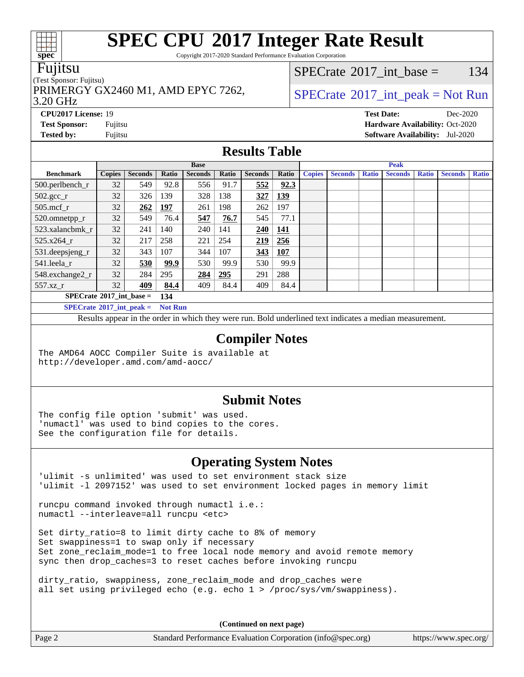Copyright 2017-2020 Standard Performance Evaluation Corporation

#### Fujitsu

#### (Test Sponsor: Fujitsu)

3.20 GHz PRIMERGY GX2460 M1, AMD EPYC 7262,  $\vert$  [SPECrate](http://www.spec.org/auto/cpu2017/Docs/result-fields.html#SPECrate2017intpeak) [2017\\_int\\_peak = N](http://www.spec.org/auto/cpu2017/Docs/result-fields.html#SPECrate2017intpeak)ot Run

[SPECrate](http://www.spec.org/auto/cpu2017/Docs/result-fields.html#SPECrate2017intbase)<sup>®</sup>2017 int base = 134

**[CPU2017 License:](http://www.spec.org/auto/cpu2017/Docs/result-fields.html#CPU2017License)** 19 **[Test Date:](http://www.spec.org/auto/cpu2017/Docs/result-fields.html#TestDate)** Dec-2020 **[Test Sponsor:](http://www.spec.org/auto/cpu2017/Docs/result-fields.html#TestSponsor)** Fujitsu **[Hardware Availability:](http://www.spec.org/auto/cpu2017/Docs/result-fields.html#HardwareAvailability)** Oct-2020 **[Tested by:](http://www.spec.org/auto/cpu2017/Docs/result-fields.html#Testedby)** Fujitsu **[Software Availability:](http://www.spec.org/auto/cpu2017/Docs/result-fields.html#SoftwareAvailability)** Jul-2020

## **[Results Table](http://www.spec.org/auto/cpu2017/Docs/result-fields.html#ResultsTable)**

|                                   | <b>Base</b>   |                |            |                |       |                |            | <b>Peak</b>   |                |              |                |              |                |              |
|-----------------------------------|---------------|----------------|------------|----------------|-------|----------------|------------|---------------|----------------|--------------|----------------|--------------|----------------|--------------|
| <b>Benchmark</b>                  | <b>Copies</b> | <b>Seconds</b> | Ratio      | <b>Seconds</b> | Ratio | <b>Seconds</b> | Ratio      | <b>Copies</b> | <b>Seconds</b> | <b>Ratio</b> | <b>Seconds</b> | <b>Ratio</b> | <b>Seconds</b> | <b>Ratio</b> |
| 500.perlbench_r                   | 32            | 549            | 92.8       | 556            | 91.7  | 552            | 92.3       |               |                |              |                |              |                |              |
| $502.\text{sec}$                  | 32            | 326            | 139        | 328            | 138   | <u>327</u>     | <b>139</b> |               |                |              |                |              |                |              |
| $505$ .mcf r                      | 32            | 262            | <b>197</b> | 261            | 198   | 262            | 197        |               |                |              |                |              |                |              |
| 520.omnetpp_r                     | 32            | 549            | 76.4       | 547            | 76.7  | 545            | 77.1       |               |                |              |                |              |                |              |
| 523.xalancbmk r                   | 32            | 241            | 140        | 240            | 141   | 240            | 141        |               |                |              |                |              |                |              |
| 525.x264 r                        | 32            | 217            | 258        | 221            | 254   | 219            | 256        |               |                |              |                |              |                |              |
| 531.deepsjeng_r                   | 32            | 343            | 107        | 344            | 107   | 343            | <b>107</b> |               |                |              |                |              |                |              |
| 541.leela r                       | 32            | 530            | 99.9       | 530            | 99.9  | 530            | 99.9       |               |                |              |                |              |                |              |
| 548.exchange2 r                   | 32            | 284            | 295        | 284            | 295   | 291            | 288        |               |                |              |                |              |                |              |
| $557.xz$ _r                       | 32            | 409            | 84.4       | 409            | 84.4  | 409            | 84.4       |               |                |              |                |              |                |              |
| $SPECrate^{\circ}2017$ int base = |               | 134            |            |                |       |                |            |               |                |              |                |              |                |              |
| $CDDOL_{1} + 0.0017$ $1.4 - 1.1$  | $N = 4$ D     |                |            |                |       |                |            |               |                |              |                |              |                |              |

**[SPECrate](http://www.spec.org/auto/cpu2017/Docs/result-fields.html#SPECrate2017intpeak)[2017\\_int\\_peak =](http://www.spec.org/auto/cpu2017/Docs/result-fields.html#SPECrate2017intpeak) Not Run**

Results appear in the [order in which they were run.](http://www.spec.org/auto/cpu2017/Docs/result-fields.html#RunOrder) Bold underlined text [indicates a median measurement.](http://www.spec.org/auto/cpu2017/Docs/result-fields.html#Median)

### **[Compiler Notes](http://www.spec.org/auto/cpu2017/Docs/result-fields.html#CompilerNotes)**

The AMD64 AOCC Compiler Suite is available at <http://developer.amd.com/amd-aocc/>

## **[Submit Notes](http://www.spec.org/auto/cpu2017/Docs/result-fields.html#SubmitNotes)**

The config file option 'submit' was used. 'numactl' was used to bind copies to the cores. See the configuration file for details.

## **[Operating System Notes](http://www.spec.org/auto/cpu2017/Docs/result-fields.html#OperatingSystemNotes)**

'ulimit -s unlimited' was used to set environment stack size 'ulimit -l 2097152' was used to set environment locked pages in memory limit

runcpu command invoked through numactl i.e.: numactl --interleave=all runcpu <etc>

Set dirty\_ratio=8 to limit dirty cache to 8% of memory Set swappiness=1 to swap only if necessary Set zone\_reclaim\_mode=1 to free local node memory and avoid remote memory sync then drop\_caches=3 to reset caches before invoking runcpu

dirty\_ratio, swappiness, zone\_reclaim\_mode and drop\_caches were all set using privileged echo (e.g. echo 1 > /proc/sys/vm/swappiness).

**(Continued on next page)**

**[spec](http://www.spec.org/)**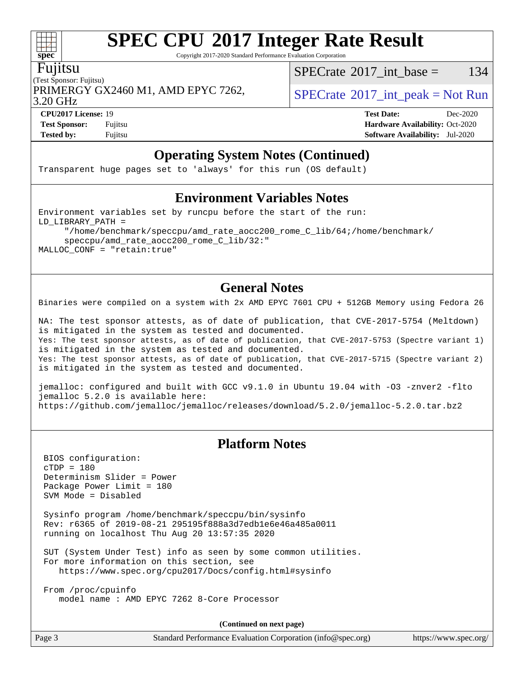Copyright 2017-2020 Standard Performance Evaluation Corporation

#### Fujitsu

(Test Sponsor: Fujitsu) 3.20 GHz PRIMERGY GX2460 M1, AMD EPYC 7262,  $\vert$  [SPECrate](http://www.spec.org/auto/cpu2017/Docs/result-fields.html#SPECrate2017intpeak) [2017\\_int\\_peak = N](http://www.spec.org/auto/cpu2017/Docs/result-fields.html#SPECrate2017intpeak)ot Run

[SPECrate](http://www.spec.org/auto/cpu2017/Docs/result-fields.html#SPECrate2017intbase)<sup>®</sup>2017 int base = 134

**[CPU2017 License:](http://www.spec.org/auto/cpu2017/Docs/result-fields.html#CPU2017License)** 19 **[Test Date:](http://www.spec.org/auto/cpu2017/Docs/result-fields.html#TestDate)** Dec-2020 **[Test Sponsor:](http://www.spec.org/auto/cpu2017/Docs/result-fields.html#TestSponsor)** Fujitsu **[Hardware Availability:](http://www.spec.org/auto/cpu2017/Docs/result-fields.html#HardwareAvailability)** Oct-2020 **[Tested by:](http://www.spec.org/auto/cpu2017/Docs/result-fields.html#Testedby)** Fujitsu **[Software Availability:](http://www.spec.org/auto/cpu2017/Docs/result-fields.html#SoftwareAvailability)** Jul-2020

## **[Operating System Notes \(Continued\)](http://www.spec.org/auto/cpu2017/Docs/result-fields.html#OperatingSystemNotes)**

Transparent huge pages set to 'always' for this run (OS default)

## **[Environment Variables Notes](http://www.spec.org/auto/cpu2017/Docs/result-fields.html#EnvironmentVariablesNotes)**

Environment variables set by runcpu before the start of the run: LD\_LIBRARY\_PATH = "/home/benchmark/speccpu/amd\_rate\_aocc200\_rome\_C\_lib/64;/home/benchmark/ speccpu/amd\_rate\_aocc200\_rome\_C\_lib/32:"

MALLOC\_CONF = "retain:true"

## **[General Notes](http://www.spec.org/auto/cpu2017/Docs/result-fields.html#GeneralNotes)**

Binaries were compiled on a system with 2x AMD EPYC 7601 CPU + 512GB Memory using Fedora 26

NA: The test sponsor attests, as of date of publication, that CVE-2017-5754 (Meltdown) is mitigated in the system as tested and documented. Yes: The test sponsor attests, as of date of publication, that CVE-2017-5753 (Spectre variant 1) is mitigated in the system as tested and documented. Yes: The test sponsor attests, as of date of publication, that CVE-2017-5715 (Spectre variant 2) is mitigated in the system as tested and documented.

jemalloc: configured and built with GCC v9.1.0 in Ubuntu 19.04 with -O3 -znver2 -flto jemalloc 5.2.0 is available here: <https://github.com/jemalloc/jemalloc/releases/download/5.2.0/jemalloc-5.2.0.tar.bz2>

## **[Platform Notes](http://www.spec.org/auto/cpu2017/Docs/result-fields.html#PlatformNotes)**

 BIOS configuration: cTDP = 180 Determinism Slider = Power Package Power Limit = 180 SVM Mode = Disabled

 Sysinfo program /home/benchmark/speccpu/bin/sysinfo Rev: r6365 of 2019-08-21 295195f888a3d7edb1e6e46a485a0011 running on localhost Thu Aug 20 13:57:35 2020

 SUT (System Under Test) info as seen by some common utilities. For more information on this section, see <https://www.spec.org/cpu2017/Docs/config.html#sysinfo>

 From /proc/cpuinfo model name : AMD EPYC 7262 8-Core Processor

**(Continued on next page)**

| : 3 |  |  |  |
|-----|--|--|--|
|     |  |  |  |

Page 3 Standard Performance Evaluation Corporation [\(info@spec.org\)](mailto:info@spec.org) <https://www.spec.org/>

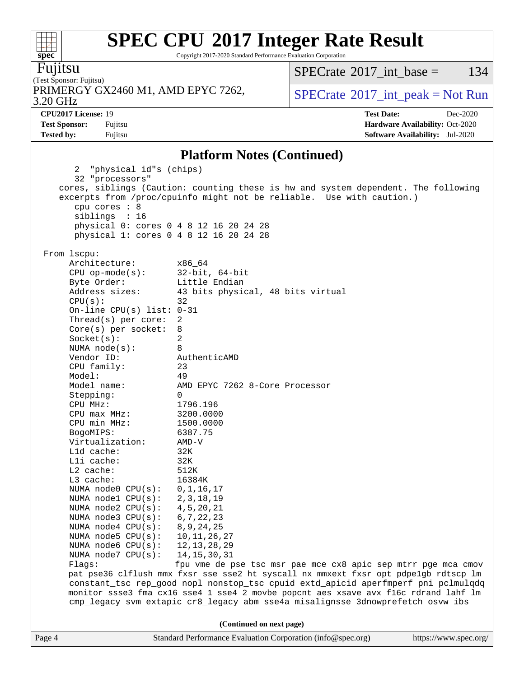Copyright 2017-2020 Standard Performance Evaluation Corporation

Fujitsu

(Test Sponsor: Fujitsu) 3.20 GHz PRIMERGY GX2460 M1, AMD EPYC 7262,  $\vert$  [SPECrate](http://www.spec.org/auto/cpu2017/Docs/result-fields.html#SPECrate2017intpeak) [2017\\_int\\_peak = N](http://www.spec.org/auto/cpu2017/Docs/result-fields.html#SPECrate2017intpeak)ot Run

[SPECrate](http://www.spec.org/auto/cpu2017/Docs/result-fields.html#SPECrate2017intbase)<sup>®</sup>2017 int base = 134

**[Tested by:](http://www.spec.org/auto/cpu2017/Docs/result-fields.html#Testedby)** Fujitsu **[Software Availability:](http://www.spec.org/auto/cpu2017/Docs/result-fields.html#SoftwareAvailability)** Jul-2020

**[CPU2017 License:](http://www.spec.org/auto/cpu2017/Docs/result-fields.html#CPU2017License)** 19 **[Test Date:](http://www.spec.org/auto/cpu2017/Docs/result-fields.html#TestDate)** Dec-2020 **[Test Sponsor:](http://www.spec.org/auto/cpu2017/Docs/result-fields.html#TestSponsor)** Fujitsu **[Hardware Availability:](http://www.spec.org/auto/cpu2017/Docs/result-fields.html#HardwareAvailability)** Oct-2020

### **[Platform Notes \(Continued\)](http://www.spec.org/auto/cpu2017/Docs/result-fields.html#PlatformNotes)**

Page 4 Standard Performance Evaluation Corporation [\(info@spec.org\)](mailto:info@spec.org) <https://www.spec.org/> 2 "physical id"s (chips) 32 "processors" cores, siblings (Caution: counting these is hw and system dependent. The following excerpts from /proc/cpuinfo might not be reliable. Use with caution.) cpu cores : 8 siblings : 16 physical 0: cores 0 4 8 12 16 20 24 28 physical 1: cores 0 4 8 12 16 20 24 28 From lscpu: Architecture: x86\_64 CPU op-mode(s): 32-bit, 64-bit Byte Order: Little Endian Address sizes: 43 bits physical, 48 bits virtual  $CPU(s):$  32 On-line CPU(s) list: 0-31 Thread(s) per core: 2 Core(s) per socket: 8 Socket(s): 2 NUMA node(s): 8 Vendor ID: AuthenticAMD CPU family: 23 Model: 49 Model name: AMD EPYC 7262 8-Core Processor Stepping: 0 CPU MHz: 1796.196 CPU max MHz: 3200.0000 CPU min MHz: 1500.0000 BogoMIPS: 6387.75 Virtualization: AMD-V L1d cache: 32K L1i cache: 32K L2 cache: 512K L3 cache: 16384K NUMA node0 CPU(s): 0,1,16,17 NUMA node1 CPU(s): 2,3,18,19 NUMA node2 CPU(s): 4,5,20,21 NUMA node3 CPU(s): 6,7,22,23<br>NUMA node4 CPU(s): 8,9,24,25 NUMA node4  $CPU(s):$  NUMA node5 CPU(s): 10,11,26,27 NUMA node6 CPU(s): 12,13,28,29 NUMA node7 CPU(s): 14,15,30,31 Flags: fpu vme de pse tsc msr pae mce cx8 apic sep mtrr pge mca cmov pat pse36 clflush mmx fxsr sse sse2 ht syscall nx mmxext fxsr\_opt pdpe1gb rdtscp lm constant\_tsc rep\_good nopl nonstop\_tsc cpuid extd\_apicid aperfmperf pni pclmulqdq monitor ssse3 fma cx16 sse4\_1 sse4\_2 movbe popcnt aes xsave avx f16c rdrand lahf\_lm cmp\_legacy svm extapic cr8\_legacy abm sse4a misalignsse 3dnowprefetch osvw ibs **(Continued on next page)**

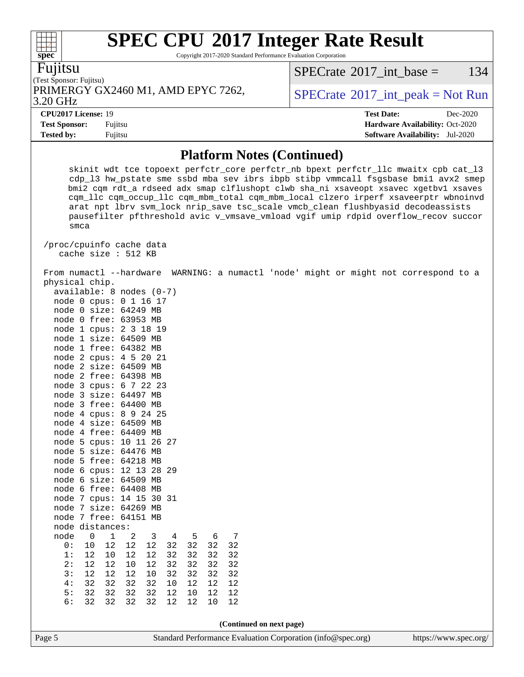Copyright 2017-2020 Standard Performance Evaluation Corporation

 $SPECTate$ <sup>®</sup>[2017\\_int\\_base =](http://www.spec.org/auto/cpu2017/Docs/result-fields.html#SPECrate2017intbase) 134

Fujitsu

**[spec](http://www.spec.org/)**

 $+++$ 

(Test Sponsor: Fujitsu) 3.20 GHz PRIMERGY GX2460 M1, AMD EPYC 7262,  $\vert$  [SPECrate](http://www.spec.org/auto/cpu2017/Docs/result-fields.html#SPECrate2017intpeak) [2017\\_int\\_peak = N](http://www.spec.org/auto/cpu2017/Docs/result-fields.html#SPECrate2017intpeak)ot Run

**[Tested by:](http://www.spec.org/auto/cpu2017/Docs/result-fields.html#Testedby)** Fujitsu **[Software Availability:](http://www.spec.org/auto/cpu2017/Docs/result-fields.html#SoftwareAvailability)** Jul-2020

**[CPU2017 License:](http://www.spec.org/auto/cpu2017/Docs/result-fields.html#CPU2017License)** 19 **[Test Date:](http://www.spec.org/auto/cpu2017/Docs/result-fields.html#TestDate)** Dec-2020 **[Test Sponsor:](http://www.spec.org/auto/cpu2017/Docs/result-fields.html#TestSponsor)** Fujitsu **[Hardware Availability:](http://www.spec.org/auto/cpu2017/Docs/result-fields.html#HardwareAvailability)** Oct-2020

### **[Platform Notes \(Continued\)](http://www.spec.org/auto/cpu2017/Docs/result-fields.html#PlatformNotes)**

 skinit wdt tce topoext perfctr\_core perfctr\_nb bpext perfctr\_llc mwaitx cpb cat\_l3 cdp\_l3 hw\_pstate sme ssbd mba sev ibrs ibpb stibp vmmcall fsgsbase bmi1 avx2 smep bmi2 cqm rdt\_a rdseed adx smap clflushopt clwb sha\_ni xsaveopt xsavec xgetbv1 xsaves cqm\_llc cqm\_occup\_llc cqm\_mbm\_total cqm\_mbm\_local clzero irperf xsaveerptr wbnoinvd arat npt lbrv svm\_lock nrip\_save tsc\_scale vmcb\_clean flushbyasid decodeassists pausefilter pfthreshold avic v\_vmsave\_vmload vgif umip rdpid overflow\_recov succor smca

 /proc/cpuinfo cache data cache size : 512 KB

 From numactl --hardware WARNING: a numactl 'node' might or might not correspond to a physical chip.

| available: 8          |                 |      |            |                   | $nodes (0-7)$ |    |         |      |    |
|-----------------------|-----------------|------|------------|-------------------|---------------|----|---------|------|----|
| node                  |                 |      | $0$ cpus:  | 0 1 16 17         |               |    |         |      |    |
| node                  |                 |      | $0$ size:  | 64249 MB          |               |    |         |      |    |
| node 0 free: 63953 MB |                 |      |            |                   |               |    |         |      |    |
| node                  |                 |      |            | 1 cpus: 2 3 18 19 |               |    |         |      |    |
| node                  |                 |      | 1 size:    | 64509 MB          |               |    |         |      |    |
| node                  |                 |      |            | 1 free: 64382 MB  |               |    |         |      |    |
| node                  |                 |      | $2$ cpus:  | 4 5 20 21         |               |    |         |      |    |
| node                  |                 |      | 2 size:    | 64509             | MB            |    |         |      |    |
| node                  |                 |      | 2 free:    | 64398 MB          |               |    |         |      |    |
| node                  |                 |      | $3$ cpus:  | 6 7 22 23         |               |    |         |      |    |
| node                  |                 |      | 3 size:    | 64497 MB          |               |    |         |      |    |
| node                  |                 |      |            | 3 free: 64400 MB  |               |    |         |      |    |
| node                  |                 |      | 4 cpus:    | 8 9 24 25         |               |    |         |      |    |
| node 4 size:          |                 |      |            | 64509 MB          |               |    |         |      |    |
| node 4                |                 |      | free:      | 64409 MB          |               |    |         |      |    |
| node                  |                 |      | 5 cpus:    | 10 11 26 27       |               |    |         |      |    |
| node                  |                 |      | 5 size:    | 64476             | МB            |    |         |      |    |
| node                  |                 |      | 5 free:    | 64218             | MB            |    |         |      |    |
| node                  |                 |      | $6$ cpus:  | 12 13 28 29       |               |    |         |      |    |
| node 6 size: 64509 MB |                 |      |            |                   |               |    |         |      |    |
| node 6 free: 64408 MB |                 |      |            |                   |               |    |         |      |    |
| node 7 cpus:          |                 |      |            | 14 15 30 31       |               |    |         |      |    |
| node                  | $7\phantom{.0}$ |      |            | size: 64269 MB    |               |    |         |      |    |
| node                  | 7               |      | free:      | 64151             | MB            |    |         |      |    |
| node                  |                 |      | distances: |                   |               |    |         |      |    |
| node                  |                 | 0    | 1          | 2                 | 3             | 4  | 5       | 6    | 7  |
| 0:                    |                 | 10   | 12         | 12                | 12            | 32 | 32      | 32   | 32 |
| 1:                    |                 | 12   | $10$       | 12                | 12            | 32 | 32      | 32   | 32 |
| 2:                    |                 | $12$ | $12$       | 10                | 12            | 32 | 32      | 32   | 32 |
| 3:                    |                 | 12   | 12         | 12                | 10            | 32 | 32      | 32   | 32 |
| 4:                    |                 | 32   | 32         | 32                | 32            | 10 | 12      | 12   | 12 |
| 5:                    |                 | 32   | 32         | 32                | 32            | 12 | $10 \,$ | 12   | 12 |
| 6:                    |                 | 32   | 32         | 32                | 32            | 12 | 12      | $10$ | 12 |
|                       |                 |      |            |                   |               |    |         |      |    |
|                       |                 |      |            |                   |               |    |         |      |    |

**(Continued on next page)**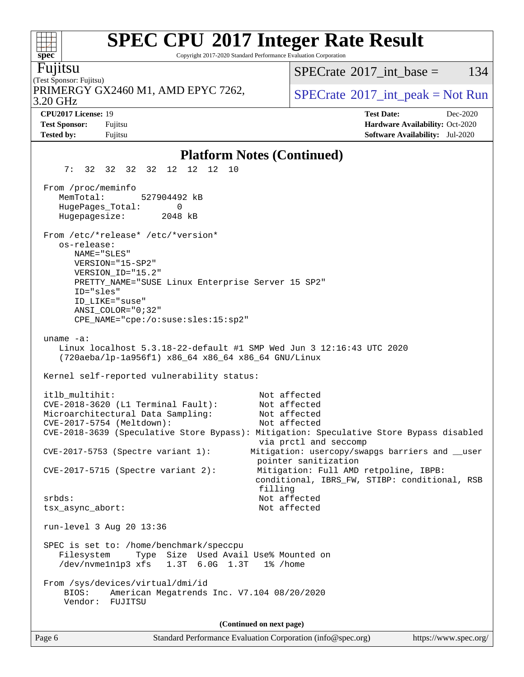Copyright 2017-2020 Standard Performance Evaluation Corporation

(Test Sponsor: Fujitsu) Fujitsu 3.20 GHz PRIMERGY GX2460 M1, AMD EPYC 7262,  $\vert$  [SPECrate](http://www.spec.org/auto/cpu2017/Docs/result-fields.html#SPECrate2017intpeak) [2017\\_int\\_peak = N](http://www.spec.org/auto/cpu2017/Docs/result-fields.html#SPECrate2017intpeak)ot Run **[CPU2017 License:](http://www.spec.org/auto/cpu2017/Docs/result-fields.html#CPU2017License)** 19 **[Test Date:](http://www.spec.org/auto/cpu2017/Docs/result-fields.html#TestDate)** Dec-2020

[SPECrate](http://www.spec.org/auto/cpu2017/Docs/result-fields.html#SPECrate2017intbase)<sup>®</sup>2017 int base = 134

**[Test Sponsor:](http://www.spec.org/auto/cpu2017/Docs/result-fields.html#TestSponsor)** Fujitsu **[Hardware Availability:](http://www.spec.org/auto/cpu2017/Docs/result-fields.html#HardwareAvailability)** Oct-2020 **[Tested by:](http://www.spec.org/auto/cpu2017/Docs/result-fields.html#Testedby)** Fujitsu **[Software Availability:](http://www.spec.org/auto/cpu2017/Docs/result-fields.html#SoftwareAvailability)** Jul-2020

## **[Platform Notes \(Continued\)](http://www.spec.org/auto/cpu2017/Docs/result-fields.html#PlatformNotes)**

Page 6 Standard Performance Evaluation Corporation [\(info@spec.org\)](mailto:info@spec.org) <https://www.spec.org/> 7: 32 32 32 32 12 12 12 10 From /proc/meminfo MemTotal: 527904492 kB HugePages\_Total: 0 Hugepagesize: 2048 kB From /etc/\*release\* /etc/\*version\* os-release: NAME="SLES" VERSION="15-SP2" VERSION\_ID="15.2" PRETTY NAME="SUSE Linux Enterprise Server 15 SP2" ID="sles" ID\_LIKE="suse" ANSI\_COLOR="0;32" CPE\_NAME="cpe:/o:suse:sles:15:sp2" uname -a: Linux localhost 5.3.18-22-default #1 SMP Wed Jun 3 12:16:43 UTC 2020 (720aeba/lp-1a956f1) x86\_64 x86\_64 x86\_64 GNU/Linux Kernel self-reported vulnerability status: itlb\_multihit: Not affected CVE-2018-3620 (L1 Terminal Fault): Not affected Microarchitectural Data Sampling: Not affected CVE-2017-5754 (Meltdown): Not affected CVE-2018-3639 (Speculative Store Bypass): Mitigation: Speculative Store Bypass disabled via prctl and seccomp CVE-2017-5753 (Spectre variant 1): Mitigation: usercopy/swapgs barriers and \_\_user pointer sanitization CVE-2017-5715 (Spectre variant 2): Mitigation: Full AMD retpoline, IBPB: conditional, IBRS\_FW, STIBP: conditional, RSB filling srbds: Not affected tsx\_async\_abort: Not affected run-level 3 Aug 20 13:36 SPEC is set to: /home/benchmark/speccpu Filesystem Type Size Used Avail Use% Mounted on /dev/nvme1n1p3 xfs 1.3T 6.0G 1.3T 1% /home From /sys/devices/virtual/dmi/id BIOS: American Megatrends Inc. V7.104 08/20/2020 Vendor: FUJITSU **(Continued on next page)**

 $+++$ **[spec](http://www.spec.org/)**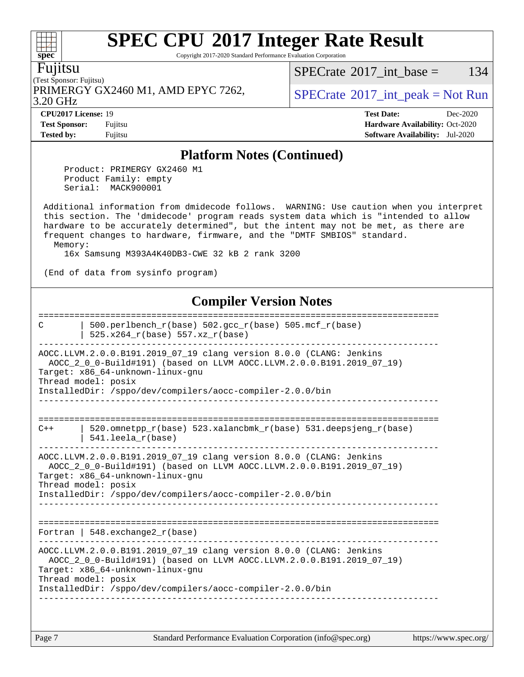Copyright 2017-2020 Standard Performance Evaluation Corporation

Fujitsu

(Test Sponsor: Fujitsu) PRIMERGY GX2460 M1, AMD EPYC 7262,  $\vert$  [SPECrate](http://www.spec.org/auto/cpu2017/Docs/result-fields.html#SPECrate2017intpeak) [2017\\_int\\_peak = N](http://www.spec.org/auto/cpu2017/Docs/result-fields.html#SPECrate2017intpeak)ot Run

[SPECrate](http://www.spec.org/auto/cpu2017/Docs/result-fields.html#SPECrate2017intbase)<sup>®</sup>2017 int base = 134

3.20 GHz

**[spec](http://www.spec.org/)**

 $+\!\!+\!\!$ 

**[Tested by:](http://www.spec.org/auto/cpu2017/Docs/result-fields.html#Testedby)** Fujitsu **[Software Availability:](http://www.spec.org/auto/cpu2017/Docs/result-fields.html#SoftwareAvailability)** Jul-2020

**[CPU2017 License:](http://www.spec.org/auto/cpu2017/Docs/result-fields.html#CPU2017License)** 19 **[Test Date:](http://www.spec.org/auto/cpu2017/Docs/result-fields.html#TestDate)** Dec-2020 **[Test Sponsor:](http://www.spec.org/auto/cpu2017/Docs/result-fields.html#TestSponsor)** Fujitsu **[Hardware Availability:](http://www.spec.org/auto/cpu2017/Docs/result-fields.html#HardwareAvailability)** Oct-2020

## **[Platform Notes \(Continued\)](http://www.spec.org/auto/cpu2017/Docs/result-fields.html#PlatformNotes)**

 Product: PRIMERGY GX2460 M1 Product Family: empty Serial: MACK900001

 Additional information from dmidecode follows. WARNING: Use caution when you interpret this section. The 'dmidecode' program reads system data which is "intended to allow hardware to be accurately determined", but the intent may not be met, as there are frequent changes to hardware, firmware, and the "DMTF SMBIOS" standard. Memory:

16x Samsung M393A4K40DB3-CWE 32 kB 2 rank 3200

(End of data from sysinfo program)

## **[Compiler Version Notes](http://www.spec.org/auto/cpu2017/Docs/result-fields.html#CompilerVersionNotes)**

============================================================================== C  $\vert$  500.perlbench\_r(base) 502.gcc\_r(base) 505.mcf\_r(base) | 525.x264 $r(base)$  557.xz $r(base)$ ------------------------------------------------------------------------------ AOCC.LLVM.2.0.0.B191.2019\_07\_19 clang version 8.0.0 (CLANG: Jenkins AOCC\_2\_0\_0-Build#191) (based on LLVM AOCC.LLVM.2.0.0.B191.2019\_07\_19) Target: x86\_64-unknown-linux-gnu Thread model: posix InstalledDir: /sppo/dev/compilers/aocc-compiler-2.0.0/bin ------------------------------------------------------------------------------ ============================================================================== C++  $\vert$  520.omnetpp r(base) 523.xalancbmk r(base) 531.deepsjeng r(base) | 541.leela\_r(base) ------------------------------------------------------------------------------ AOCC.LLVM.2.0.0.B191.2019\_07\_19 clang version 8.0.0 (CLANG: Jenkins AOCC\_2\_0\_0-Build#191) (based on LLVM AOCC.LLVM.2.0.0.B191.2019\_07\_19) Target: x86\_64-unknown-linux-gnu Thread model: posix InstalledDir: /sppo/dev/compilers/aocc-compiler-2.0.0/bin ------------------------------------------------------------------------------ ============================================================================== Fortran | 548.exchange2\_r(base) ------------------------------------------------------------------------------ AOCC.LLVM.2.0.0.B191.2019\_07\_19 clang version 8.0.0 (CLANG: Jenkins AOCC\_2\_0\_0-Build#191) (based on LLVM AOCC.LLVM.2.0.0.B191.2019\_07\_19) Target: x86\_64-unknown-linux-gnu Thread model: posix InstalledDir: /sppo/dev/compilers/aocc-compiler-2.0.0/bin ------------------------------------------------------------------------------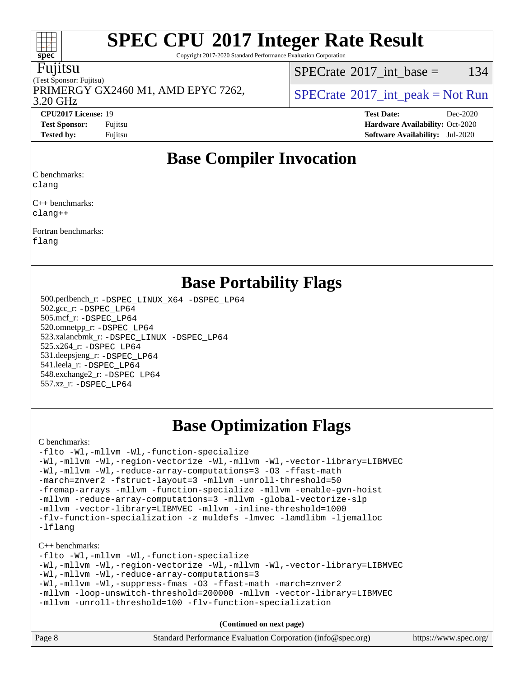Copyright 2017-2020 Standard Performance Evaluation Corporation

#### Fujitsu

(Test Sponsor: Fujitsu) 3.20 GHz PRIMERGY GX2460 M1, AMD EPYC 7262,  $\vert$  [SPECrate](http://www.spec.org/auto/cpu2017/Docs/result-fields.html#SPECrate2017intpeak) [2017\\_int\\_peak = N](http://www.spec.org/auto/cpu2017/Docs/result-fields.html#SPECrate2017intpeak)ot Run

[SPECrate](http://www.spec.org/auto/cpu2017/Docs/result-fields.html#SPECrate2017intbase)<sup>®</sup>2017 int base = 134

**[CPU2017 License:](http://www.spec.org/auto/cpu2017/Docs/result-fields.html#CPU2017License)** 19 **[Test Date:](http://www.spec.org/auto/cpu2017/Docs/result-fields.html#TestDate)** Dec-2020 **[Test Sponsor:](http://www.spec.org/auto/cpu2017/Docs/result-fields.html#TestSponsor)** Fujitsu **[Hardware Availability:](http://www.spec.org/auto/cpu2017/Docs/result-fields.html#HardwareAvailability)** Oct-2020 **[Tested by:](http://www.spec.org/auto/cpu2017/Docs/result-fields.html#Testedby)** Fujitsu **[Software Availability:](http://www.spec.org/auto/cpu2017/Docs/result-fields.html#SoftwareAvailability)** Jul-2020

## **[Base Compiler Invocation](http://www.spec.org/auto/cpu2017/Docs/result-fields.html#BaseCompilerInvocation)**

[C benchmarks:](http://www.spec.org/auto/cpu2017/Docs/result-fields.html#Cbenchmarks)

[clang](http://www.spec.org/cpu2017/results/res2020q4/cpu2017-20201207-24567.flags.html#user_CCbase_clang-c)

[C++ benchmarks:](http://www.spec.org/auto/cpu2017/Docs/result-fields.html#CXXbenchmarks) [clang++](http://www.spec.org/cpu2017/results/res2020q4/cpu2017-20201207-24567.flags.html#user_CXXbase_clang-cpp)

[Fortran benchmarks](http://www.spec.org/auto/cpu2017/Docs/result-fields.html#Fortranbenchmarks): [flang](http://www.spec.org/cpu2017/results/res2020q4/cpu2017-20201207-24567.flags.html#user_FCbase_flang)

## **[Base Portability Flags](http://www.spec.org/auto/cpu2017/Docs/result-fields.html#BasePortabilityFlags)**

 500.perlbench\_r: [-DSPEC\\_LINUX\\_X64](http://www.spec.org/cpu2017/results/res2020q4/cpu2017-20201207-24567.flags.html#b500.perlbench_r_basePORTABILITY_DSPEC_LINUX_X64) [-DSPEC\\_LP64](http://www.spec.org/cpu2017/results/res2020q4/cpu2017-20201207-24567.flags.html#b500.perlbench_r_baseEXTRA_PORTABILITY_DSPEC_LP64) 502.gcc\_r: [-DSPEC\\_LP64](http://www.spec.org/cpu2017/results/res2020q4/cpu2017-20201207-24567.flags.html#suite_baseEXTRA_PORTABILITY502_gcc_r_DSPEC_LP64) 505.mcf\_r: [-DSPEC\\_LP64](http://www.spec.org/cpu2017/results/res2020q4/cpu2017-20201207-24567.flags.html#suite_baseEXTRA_PORTABILITY505_mcf_r_DSPEC_LP64) 520.omnetpp\_r: [-DSPEC\\_LP64](http://www.spec.org/cpu2017/results/res2020q4/cpu2017-20201207-24567.flags.html#suite_baseEXTRA_PORTABILITY520_omnetpp_r_DSPEC_LP64) 523.xalancbmk\_r: [-DSPEC\\_LINUX](http://www.spec.org/cpu2017/results/res2020q4/cpu2017-20201207-24567.flags.html#b523.xalancbmk_r_basePORTABILITY_DSPEC_LINUX) [-DSPEC\\_LP64](http://www.spec.org/cpu2017/results/res2020q4/cpu2017-20201207-24567.flags.html#suite_baseEXTRA_PORTABILITY523_xalancbmk_r_DSPEC_LP64) 525.x264\_r: [-DSPEC\\_LP64](http://www.spec.org/cpu2017/results/res2020q4/cpu2017-20201207-24567.flags.html#suite_baseEXTRA_PORTABILITY525_x264_r_DSPEC_LP64) 531.deepsjeng\_r: [-DSPEC\\_LP64](http://www.spec.org/cpu2017/results/res2020q4/cpu2017-20201207-24567.flags.html#suite_baseEXTRA_PORTABILITY531_deepsjeng_r_DSPEC_LP64) 541.leela\_r: [-DSPEC\\_LP64](http://www.spec.org/cpu2017/results/res2020q4/cpu2017-20201207-24567.flags.html#suite_baseEXTRA_PORTABILITY541_leela_r_DSPEC_LP64) 548.exchange2\_r: [-DSPEC\\_LP64](http://www.spec.org/cpu2017/results/res2020q4/cpu2017-20201207-24567.flags.html#suite_baseEXTRA_PORTABILITY548_exchange2_r_DSPEC_LP64) 557.xz\_r: [-DSPEC\\_LP64](http://www.spec.org/cpu2017/results/res2020q4/cpu2017-20201207-24567.flags.html#suite_baseEXTRA_PORTABILITY557_xz_r_DSPEC_LP64)

## **[Base Optimization Flags](http://www.spec.org/auto/cpu2017/Docs/result-fields.html#BaseOptimizationFlags)**

[C benchmarks](http://www.spec.org/auto/cpu2017/Docs/result-fields.html#Cbenchmarks):

[-flto](http://www.spec.org/cpu2017/results/res2020q4/cpu2017-20201207-24567.flags.html#user_CCbase_aocc-flto) [-Wl,-mllvm -Wl,-function-specialize](http://www.spec.org/cpu2017/results/res2020q4/cpu2017-20201207-24567.flags.html#user_CCbase_F-function-specialize_7e7e661e57922243ee67c9a1251cb8910e607325179a0ce7f2884e09a6f5d4a5ef0ae4f37e8a2a11c95fc48e931f06dc2b6016f14b511fcb441e048bef1b065a) [-Wl,-mllvm -Wl,-region-vectorize](http://www.spec.org/cpu2017/results/res2020q4/cpu2017-20201207-24567.flags.html#user_CCbase_F-region-vectorize_fb6c6b5aa293c88efc6c7c2b52b20755e943585b1fe8658c35afef78727fff56e1a56891413c30e36b8e2a6f9a71126986319243e80eb6110b78b288f533c52b) [-Wl,-mllvm -Wl,-vector-library=LIBMVEC](http://www.spec.org/cpu2017/results/res2020q4/cpu2017-20201207-24567.flags.html#user_CCbase_F-use-vector-library_0a14b27fae317f283640384a31f7bfcc2bd4c1d0b5cfc618a3a430800c9b20217b00f61303eff223a3251b4f06ffbc9739dc5296db9d1fbb9ad24a3939d86d66) [-Wl,-mllvm -Wl,-reduce-array-computations=3](http://www.spec.org/cpu2017/results/res2020q4/cpu2017-20201207-24567.flags.html#user_CCbase_F-reduce-array-computations_b882aefe7a5dda4e33149f6299762b9a720dace3e498e13756f4c04e5a19edf5315c1f3993de2e61ec41e8c206231f84e05da7040e1bb5d69ba27d10a12507e4) [-O3](http://www.spec.org/cpu2017/results/res2020q4/cpu2017-20201207-24567.flags.html#user_CCbase_F-O3) [-ffast-math](http://www.spec.org/cpu2017/results/res2020q4/cpu2017-20201207-24567.flags.html#user_CCbase_aocc-ffast-math) [-march=znver2](http://www.spec.org/cpu2017/results/res2020q4/cpu2017-20201207-24567.flags.html#user_CCbase_aocc-march_3e2e19cff2eeef60c5d90b059483627c9ea47eca6d66670dbd53f9185f6439e27eb5e104cf773e9e8ab18c8842ce63e461a3e948d0214bd567ef3ade411bf467) [-fstruct-layout=3](http://www.spec.org/cpu2017/results/res2020q4/cpu2017-20201207-24567.flags.html#user_CCbase_F-struct-layout) [-mllvm -unroll-threshold=50](http://www.spec.org/cpu2017/results/res2020q4/cpu2017-20201207-24567.flags.html#user_CCbase_F-unroll-threshold_458874500b2c105d6d5cb4d7a611c40e2b16e9e3d26b355fea72d644c3673b4de4b3932662f0ed3dbec75c491a13da2d2ca81180bd779dc531083ef1e1e549dc) [-fremap-arrays](http://www.spec.org/cpu2017/results/res2020q4/cpu2017-20201207-24567.flags.html#user_CCbase_F-fremap-arrays) [-mllvm -function-specialize](http://www.spec.org/cpu2017/results/res2020q4/cpu2017-20201207-24567.flags.html#user_CCbase_F-function-specialize_233b3bdba86027f1b094368157e481c5bc59f40286dc25bfadc1858dcd5745c24fd30d5f188710db7fea399bcc9f44a80b3ce3aacc70a8870250c3ae5e1f35b8) [-mllvm -enable-gvn-hoist](http://www.spec.org/cpu2017/results/res2020q4/cpu2017-20201207-24567.flags.html#user_CCbase_F-enable-gvn-hoist_e5856354646dd6ca1333a0ad99b817e4cf8932b91b82809fd8fd47ceff7b22a89eba5c98fd3e3fa5200368fd772cec3dd56abc3c8f7b655a71b9f9848dddedd5) [-mllvm -reduce-array-computations=3](http://www.spec.org/cpu2017/results/res2020q4/cpu2017-20201207-24567.flags.html#user_CCbase_F-reduce-array-computations_aceadb8604558b566e0e3a0d7a3c1533923dd1fa0889614e16288028922629a28d5695c24d3b3be4306b1e311c54317dfffe3a2e57fbcaabc737a1798de39145) [-mllvm -global-vectorize-slp](http://www.spec.org/cpu2017/results/res2020q4/cpu2017-20201207-24567.flags.html#user_CCbase_F-global-vectorize-slp_a3935e8627af4ced727033b1ffd4db27f4d541a363d28d82bf4c2925fb3a0fd4115d6e42d13a2829f9e024d6608eb67a85cb49770f2da5c5ac8dbc737afad603) [-mllvm -vector-library=LIBMVEC](http://www.spec.org/cpu2017/results/res2020q4/cpu2017-20201207-24567.flags.html#user_CCbase_F-use-vector-library_e584e20b4f7ec96aa109254b65d8e01d864f3d68580371b9d93ed7c338191d4cfce20c3c864632264effc6bbe4c7c38153d02096a342ee92501c4a53204a7871) [-mllvm -inline-threshold=1000](http://www.spec.org/cpu2017/results/res2020q4/cpu2017-20201207-24567.flags.html#user_CCbase_dragonegg-llvm-inline-threshold_b7832241b0a6397e4ecdbaf0eb7defdc10f885c2a282fa3240fdc99844d543fda39cf8a4a9dccf68cf19b5438ac3b455264f478df15da0f4988afa40d8243bab) [-flv-function-specialization](http://www.spec.org/cpu2017/results/res2020q4/cpu2017-20201207-24567.flags.html#user_CCbase_F-flv-function-specialization) [-z muldefs](http://www.spec.org/cpu2017/results/res2020q4/cpu2017-20201207-24567.flags.html#user_CCbase_aocc-muldefs) [-lmvec](http://www.spec.org/cpu2017/results/res2020q4/cpu2017-20201207-24567.flags.html#user_CCbase_F-lmvec) [-lamdlibm](http://www.spec.org/cpu2017/results/res2020q4/cpu2017-20201207-24567.flags.html#user_CCbase_F-lamdlibm) [-ljemalloc](http://www.spec.org/cpu2017/results/res2020q4/cpu2017-20201207-24567.flags.html#user_CCbase_jemalloc-lib) [-lflang](http://www.spec.org/cpu2017/results/res2020q4/cpu2017-20201207-24567.flags.html#user_CCbase_F-lflang)

[C++ benchmarks:](http://www.spec.org/auto/cpu2017/Docs/result-fields.html#CXXbenchmarks)

[-flto](http://www.spec.org/cpu2017/results/res2020q4/cpu2017-20201207-24567.flags.html#user_CXXbase_aocc-flto) [-Wl,-mllvm -Wl,-function-specialize](http://www.spec.org/cpu2017/results/res2020q4/cpu2017-20201207-24567.flags.html#user_CXXbase_F-function-specialize_7e7e661e57922243ee67c9a1251cb8910e607325179a0ce7f2884e09a6f5d4a5ef0ae4f37e8a2a11c95fc48e931f06dc2b6016f14b511fcb441e048bef1b065a) [-Wl,-mllvm -Wl,-region-vectorize](http://www.spec.org/cpu2017/results/res2020q4/cpu2017-20201207-24567.flags.html#user_CXXbase_F-region-vectorize_fb6c6b5aa293c88efc6c7c2b52b20755e943585b1fe8658c35afef78727fff56e1a56891413c30e36b8e2a6f9a71126986319243e80eb6110b78b288f533c52b) [-Wl,-mllvm -Wl,-vector-library=LIBMVEC](http://www.spec.org/cpu2017/results/res2020q4/cpu2017-20201207-24567.flags.html#user_CXXbase_F-use-vector-library_0a14b27fae317f283640384a31f7bfcc2bd4c1d0b5cfc618a3a430800c9b20217b00f61303eff223a3251b4f06ffbc9739dc5296db9d1fbb9ad24a3939d86d66) [-Wl,-mllvm -Wl,-reduce-array-computations=3](http://www.spec.org/cpu2017/results/res2020q4/cpu2017-20201207-24567.flags.html#user_CXXbase_F-reduce-array-computations_b882aefe7a5dda4e33149f6299762b9a720dace3e498e13756f4c04e5a19edf5315c1f3993de2e61ec41e8c206231f84e05da7040e1bb5d69ba27d10a12507e4) [-Wl,-mllvm -Wl,-suppress-fmas](http://www.spec.org/cpu2017/results/res2020q4/cpu2017-20201207-24567.flags.html#user_CXXbase_F-suppress-fmas_f00f00630e4a059e8af9c161e9bbf420bcf19890a7f99d5933525e66aa4b0bb3ab2339d2b12d97d3a5f5d271e839fe9c109938e91fe06230fb53651590cfa1e8) [-O3](http://www.spec.org/cpu2017/results/res2020q4/cpu2017-20201207-24567.flags.html#user_CXXbase_F-O3) [-ffast-math](http://www.spec.org/cpu2017/results/res2020q4/cpu2017-20201207-24567.flags.html#user_CXXbase_aocc-ffast-math) [-march=znver2](http://www.spec.org/cpu2017/results/res2020q4/cpu2017-20201207-24567.flags.html#user_CXXbase_aocc-march_3e2e19cff2eeef60c5d90b059483627c9ea47eca6d66670dbd53f9185f6439e27eb5e104cf773e9e8ab18c8842ce63e461a3e948d0214bd567ef3ade411bf467) [-mllvm -loop-unswitch-threshold=200000](http://www.spec.org/cpu2017/results/res2020q4/cpu2017-20201207-24567.flags.html#user_CXXbase_F-loop-unswitch-threshold_f9a82ae3270e55b5fbf79d0d96ee93606b73edbbe527d20b18b7bff1a3a146ad50cfc7454c5297978340ae9213029016a7d16221274d672d3f7f42ed25274e1d) [-mllvm -vector-library=LIBMVEC](http://www.spec.org/cpu2017/results/res2020q4/cpu2017-20201207-24567.flags.html#user_CXXbase_F-use-vector-library_e584e20b4f7ec96aa109254b65d8e01d864f3d68580371b9d93ed7c338191d4cfce20c3c864632264effc6bbe4c7c38153d02096a342ee92501c4a53204a7871) [-mllvm -unroll-threshold=100](http://www.spec.org/cpu2017/results/res2020q4/cpu2017-20201207-24567.flags.html#user_CXXbase_F-unroll-threshold_2755d0c78138845d361fa1543e3a063fffa198df9b3edf0cfb856bbc88a81e1769b12ac7a550c5d35197be55360db1a3f95a8d1304df999456cabf5120c45168) [-flv-function-specialization](http://www.spec.org/cpu2017/results/res2020q4/cpu2017-20201207-24567.flags.html#user_CXXbase_F-flv-function-specialization)

**(Continued on next page)**

| Page 8<br>Standard Performance Evaluation Corporation (info@spec.org) | https://www.spec.org/ |
|-----------------------------------------------------------------------|-----------------------|
|-----------------------------------------------------------------------|-----------------------|